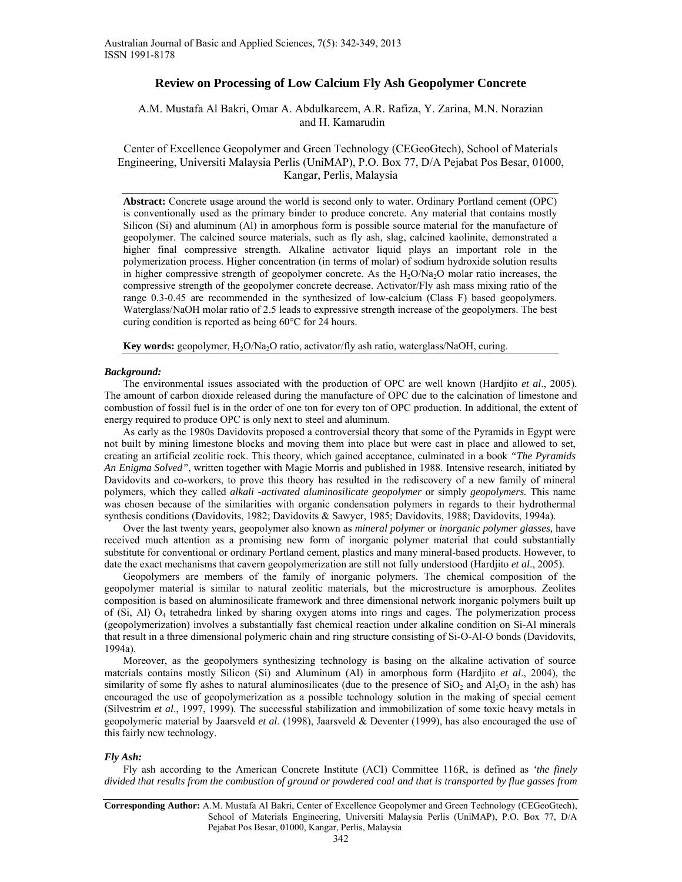# **Review on Processing of Low Calcium Fly Ash Geopolymer Concrete**

# A.M. Mustafa Al Bakri, Omar A. Abdulkareem, A.R. Rafiza, Y. Zarina, M.N. Norazian and H. Kamarudin

Center of Excellence Geopolymer and Green Technology (CEGeoGtech), School of Materials Engineering, Universiti Malaysia Perlis (UniMAP), P.O. Box 77, D/A Pejabat Pos Besar, 01000, Kangar, Perlis, Malaysia

**Abstract:** Concrete usage around the world is second only to water. Ordinary Portland cement (OPC) is conventionally used as the primary binder to produce concrete. Any material that contains mostly Silicon (Si) and aluminum (Al) in amorphous form is possible source material for the manufacture of geopolymer. The calcined source materials, such as fly ash, slag, calcined kaolinite, demonstrated a higher final compressive strength. Alkaline activator liquid plays an important role in the polymerization process. Higher concentration (in terms of molar) of sodium hydroxide solution results in higher compressive strength of geopolymer concrete. As the  $H_2O/Na_2O$  molar ratio increases, the compressive strength of the geopolymer concrete decrease. Activator/Fly ash mass mixing ratio of the range 0.3-0.45 are recommended in the synthesized of low-calcium (Class F) based geopolymers. Waterglass/NaOH molar ratio of 2.5 leads to expressive strength increase of the geopolymers. The best curing condition is reported as being 60°C for 24 hours.

**Key words:** geopolymer, H<sub>2</sub>O/Na<sub>2</sub>O ratio, activator/fly ash ratio, waterglass/NaOH, curing.

## *Background:*

The environmental issues associated with the production of OPC are well known (Hardjito *et al*., 2005). The amount of carbon dioxide released during the manufacture of OPC due to the calcination of limestone and combustion of fossil fuel is in the order of one ton for every ton of OPC production. In additional, the extent of energy required to produce OPC is only next to steel and aluminum.

As early as the 1980s Davidovits proposed a controversial theory that some of the Pyramids in Egypt were not built by mining limestone blocks and moving them into place but were cast in place and allowed to set, creating an artificial zeolitic rock. This theory, which gained acceptance, culminated in a book *"The Pyramids An Enigma Solved"*, written together with Magie Morris and published in 1988. Intensive research, initiated by Davidovits and co-workers, to prove this theory has resulted in the rediscovery of a new family of mineral polymers, which they called *alkali -activated aluminosilicate geopolymer* or simply *geopolymers.* This name was chosen because of the similarities with organic condensation polymers in regards to their hydrothermal synthesis conditions (Davidovits, 1982; Davidovits & Sawyer, 1985; Davidovits, 1988; Davidovits, 1994a).

Over the last twenty years, geopolymer also known as *mineral polymer* or *inorganic polymer glasses,* have received much attention as a promising new form of inorganic polymer material that could substantially substitute for conventional or ordinary Portland cement, plastics and many mineral-based products. However, to date the exact mechanisms that cavern geopolymerization are still not fully understood (Hardjito *et al*., 2005).

Geopolymers are members of the family of inorganic polymers. The chemical composition of the geopolymer material is similar to natural zeolitic materials, but the microstructure is amorphous. Zeolites composition is based on aluminosilicate framework and three dimensional network inorganic polymers built up of (Si, Al) O4 tetrahedra linked by sharing oxygen atoms into rings and cages. The polymerization process (geopolymerization) involves a substantially fast chemical reaction under alkaline condition on Si-Al minerals that result in a three dimensional polymeric chain and ring structure consisting of Si-O-Al-O bonds (Davidovits, 1994a).

Moreover, as the geopolymers synthesizing technology is basing on the alkaline activation of source materials contains mostly Silicon (Si) and Aluminum (Al) in amorphous form (Hardjito *et al*., 2004), the similarity of some fly ashes to natural aluminosilicates (due to the presence of  $SiO<sub>2</sub>$  and  $Al<sub>2</sub>O<sub>3</sub>$  in the ash) has encouraged the use of geopolymerization as a possible technology solution in the making of special cement (Silvestrim *et al*., 1997, 1999). The successful stabilization and immobilization of some toxic heavy metals in geopolymeric material by Jaarsveld *et al*. (1998), Jaarsveld & Deventer (1999), has also encouraged the use of this fairly new technology.

# *Fly Ash:*

Fly ash according to the American Concrete Institute (ACI) Committee 116R, is defined as *'the finely divided that results from the combustion of ground or powdered coal and that is transported by flue gasses from* 

**Corresponding Author:** A.M. Mustafa Al Bakri, Center of Excellence Geopolymer and Green Technology (CEGeoGtech), School of Materials Engineering, Universiti Malaysia Perlis (UniMAP), P.O. Box 77, D/A Pejabat Pos Besar, 01000, Kangar, Perlis, Malaysia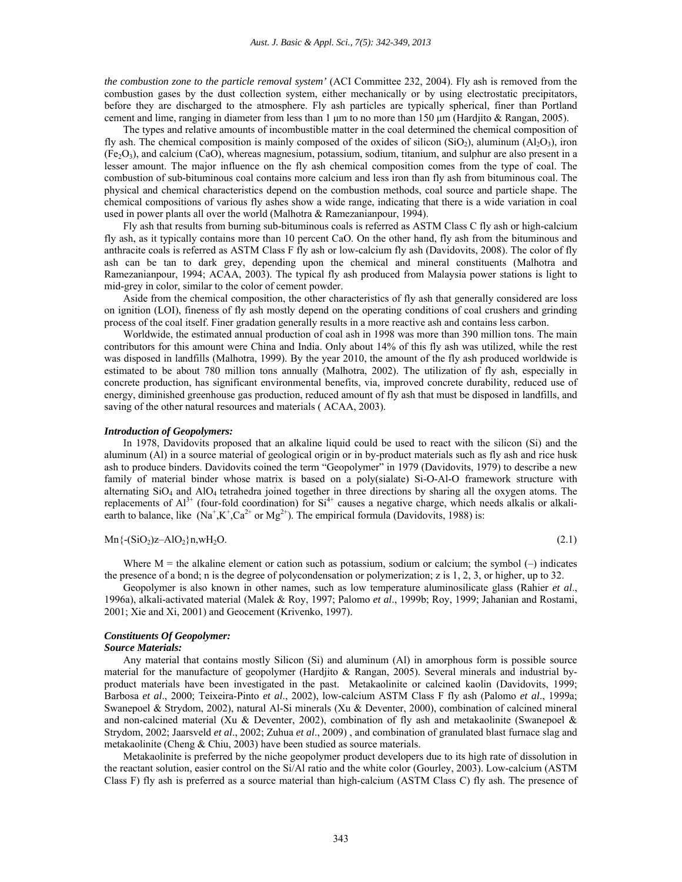*the combustion zone to the particle removal system'* (ACI Committee 232, 2004). Fly ash is removed from the combustion gases by the dust collection system, either mechanically or by using electrostatic precipitators, before they are discharged to the atmosphere. Fly ash particles are typically spherical, finer than Portland cement and lime, ranging in diameter from less than 1 μm to no more than 150 μm (Hardjito & Rangan, 2005).

The types and relative amounts of incombustible matter in the coal determined the chemical composition of fly ash. The chemical composition is mainly composed of the oxides of silicon (SiO<sub>2</sub>), aluminum (Al<sub>2</sub>O<sub>3</sub>), iron (Fe2O3), and calcium (CaO), whereas magnesium, potassium, sodium, titanium, and sulphur are also present in a lesser amount. The major influence on the fly ash chemical composition comes from the type of coal. The combustion of sub-bituminous coal contains more calcium and less iron than fly ash from bituminous coal. The physical and chemical characteristics depend on the combustion methods, coal source and particle shape. The chemical compositions of various fly ashes show a wide range, indicating that there is a wide variation in coal used in power plants all over the world (Malhotra & Ramezanianpour, 1994).

Fly ash that results from burning sub-bituminous coals is referred as ASTM Class C fly ash or high-calcium fly ash, as it typically contains more than 10 percent CaO. On the other hand, fly ash from the bituminous and anthracite coals is referred as ASTM Class F fly ash or low-calcium fly ash (Davidovits, 2008). The color of fly ash can be tan to dark grey, depending upon the chemical and mineral constituents (Malhotra and Ramezanianpour, 1994; ACAA, 2003). The typical fly ash produced from Malaysia power stations is light to mid-grey in color, similar to the color of cement powder.

Aside from the chemical composition, the other characteristics of fly ash that generally considered are loss on ignition (LOI), fineness of fly ash mostly depend on the operating conditions of coal crushers and grinding process of the coal itself. Finer gradation generally results in a more reactive ash and contains less carbon.

Worldwide, the estimated annual production of coal ash in 1998 was more than 390 million tons. The main contributors for this amount were China and India. Only about 14% of this fly ash was utilized, while the rest was disposed in landfills (Malhotra, 1999). By the year 2010, the amount of the fly ash produced worldwide is estimated to be about 780 million tons annually (Malhotra, 2002). The utilization of fly ash, especially in concrete production, has significant environmental benefits, via, improved concrete durability, reduced use of energy, diminished greenhouse gas production, reduced amount of fly ash that must be disposed in landfills, and saving of the other natural resources and materials ( ACAA, 2003).

#### *Introduction of Geopolymers:*

In 1978, Davidovits proposed that an alkaline liquid could be used to react with the silicon (Si) and the aluminum (Al) in a source material of geological origin or in by-product materials such as fly ash and rice husk ash to produce binders. Davidovits coined the term "Geopolymer" in 1979 (Davidovits, 1979) to describe a new family of material binder whose matrix is based on a poly(sialate) Si-O-Al-O framework structure with alternating SiO4 and AlO4 tetrahedra joined together in three directions by sharing all the oxygen atoms. The replacements of  $Al^{3+}$  (four-fold coordination) for  $Si^{4+}$  causes a negative charge, which needs alkalis or alkaliearth to balance, like  $(Na^+, K^+, Ca^{2+} \text{ or } Mg^{2+})$ . The empirical formula (Davidovits, 1988) is:

$$
Mn\{-(SiO2)z - AlO2\}n, wH2O.
$$
\n(2.1)

Where  $M =$  the alkaline element or cation such as potassium, sodium or calcium; the symbol  $(-)$  indicates the presence of a bond; n is the degree of polycondensation or polymerization; z is 1, 2, 3, or higher, up to 32.

Geopolymer is also known in other names, such as low temperature aluminosilicate glass (Rahier *et al*., 1996a), alkali-activated material (Malek & Roy, 1997; Palomo *et al*., 1999b; Roy, 1999; Jahanian and Rostami, 2001; Xie and Xi, 2001) and Geocement (Krivenko, 1997).

## *Constituents Of Geopolymer:*

### *Source Materials:*

Any material that contains mostly Silicon (Si) and aluminum (Al) in amorphous form is possible source material for the manufacture of geopolymer (Hardjito & Rangan, 2005). Several minerals and industrial byproduct materials have been investigated in the past. Metakaolinite or calcined kaolin (Davidovits, 1999; Barbosa *et al*., 2000; Teixeira-Pinto *et al*., 2002), low-calcium ASTM Class F fly ash (Palomo *et al*., 1999a; Swanepoel & Strydom, 2002), natural Al-Si minerals (Xu & Deventer, 2000), combination of calcined mineral and non-calcined material (Xu & Deventer, 2002), combination of fly ash and metakaolinite (Swanepoel & Strydom, 2002; Jaarsveld *et al*., 2002; Zuhua *et al*., 2009) , and combination of granulated blast furnace slag and metakaolinite (Cheng & Chiu, 2003) have been studied as source materials.

Metakaolinite is preferred by the niche geopolymer product developers due to its high rate of dissolution in the reactant solution, easier control on the Si/Al ratio and the white color (Gourley, 2003). Low-calcium (ASTM Class F) fly ash is preferred as a source material than high-calcium (ASTM Class C) fly ash. The presence of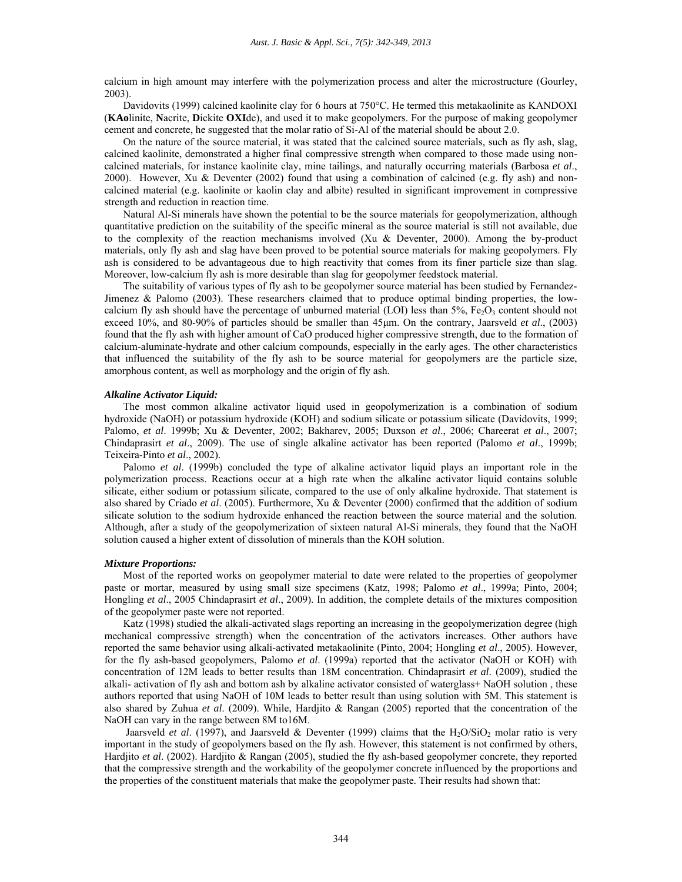calcium in high amount may interfere with the polymerization process and alter the microstructure (Gourley, 2003).

Davidovits (1999) calcined kaolinite clay for 6 hours at 750°C. He termed this metakaolinite as KANDOXI (**KAo**linite, **N**acrite, **D**ickite **OXI**de), and used it to make geopolymers. For the purpose of making geopolymer cement and concrete, he suggested that the molar ratio of Si-Al of the material should be about 2.0.

On the nature of the source material, it was stated that the calcined source materials, such as fly ash, slag, calcined kaolinite, demonstrated a higher final compressive strength when compared to those made using noncalcined materials, for instance kaolinite clay, mine tailings, and naturally occurring materials (Barbosa *et al*., 2000). However, Xu & Deventer (2002) found that using a combination of calcined (e.g. fly ash) and noncalcined material (e.g. kaolinite or kaolin clay and albite) resulted in significant improvement in compressive strength and reduction in reaction time.

Natural Al-Si minerals have shown the potential to be the source materials for geopolymerization, although quantitative prediction on the suitability of the specific mineral as the source material is still not available, due to the complexity of the reaction mechanisms involved  $(Xu \&$  Deventer, 2000). Among the by-product materials, only fly ash and slag have been proved to be potential source materials for making geopolymers. Fly ash is considered to be advantageous due to high reactivity that comes from its finer particle size than slag. Moreover, low-calcium fly ash is more desirable than slag for geopolymer feedstock material.

The suitability of various types of fly ash to be geopolymer source material has been studied by Fernandez-Jimenez & Palomo (2003). These researchers claimed that to produce optimal binding properties, the lowcalcium fly ash should have the percentage of unburned material (LOI) less than  $5\%$ , Fe<sub>2</sub>O<sub>3</sub> content should not exceed 10%, and 80-90% of particles should be smaller than 45μm. On the contrary, Jaarsveld *et al*., (2003) found that the fly ash with higher amount of CaO produced higher compressive strength, due to the formation of calcium-aluminate-hydrate and other calcium compounds, especially in the early ages. The other characteristics that influenced the suitability of the fly ash to be source material for geopolymers are the particle size, amorphous content, as well as morphology and the origin of fly ash.

## *Alkaline Activator Liquid:*

The most common alkaline activator liquid used in geopolymerization is a combination of sodium hydroxide (NaOH) or potassium hydroxide (KOH) and sodium silicate or potassium silicate (Davidovits, 1999; Palomo, *et al*. 1999b; Xu & Deventer, 2002; Bakharev, 2005; Duxson *et al*., 2006; Chareerat *et al*., 2007; Chindaprasirt *et al*., 2009). The use of single alkaline activator has been reported (Palomo *et al*., 1999b; Teixeira-Pinto *et al*., 2002).

Palomo *et al*. (1999b) concluded the type of alkaline activator liquid plays an important role in the polymerization process. Reactions occur at a high rate when the alkaline activator liquid contains soluble silicate, either sodium or potassium silicate, compared to the use of only alkaline hydroxide. That statement is also shared by Criado *et al*. (2005). Furthermore, Xu & Deventer (2000) confirmed that the addition of sodium silicate solution to the sodium hydroxide enhanced the reaction between the source material and the solution. Although, after a study of the geopolymerization of sixteen natural Al-Si minerals, they found that the NaOH solution caused a higher extent of dissolution of minerals than the KOH solution.

#### *Mixture Proportions:*

Most of the reported works on geopolymer material to date were related to the properties of geopolymer paste or mortar, measured by using small size specimens (Katz, 1998; Palomo *et al*., 1999a; Pinto, 2004; Hongling *et al*., 2005 Chindaprasirt *et al*., 2009). In addition, the complete details of the mixtures composition of the geopolymer paste were not reported.

Katz (1998) studied the alkali-activated slags reporting an increasing in the geopolymerization degree (high mechanical compressive strength) when the concentration of the activators increases. Other authors have reported the same behavior using alkali-activated metakaolinite (Pinto, 2004; Hongling *et al*., 2005). However, for the fly ash-based geopolymers, Palomo *et al*. (1999a) reported that the activator (NaOH or KOH) with concentration of 12M leads to better results than 18M concentration. Chindaprasirt *et al*. (2009), studied the alkali- activation of fly ash and bottom ash by alkaline activator consisted of waterglass+ NaOH solution , these authors reported that using NaOH of 10M leads to better result than using solution with 5M. This statement is also shared by Zuhua *et al*. (2009). While, Hardjito & Rangan (2005) reported that the concentration of the NaOH can vary in the range between 8M to16M.

Jaarsveld *et al.* (1997), and Jaarsveld & Deventer (1999) claims that the H<sub>2</sub>O/SiO<sub>2</sub> molar ratio is very important in the study of geopolymers based on the fly ash. However, this statement is not confirmed by others, Hardjito *et al*. (2002). Hardjito & Rangan (2005), studied the fly ash-based geopolymer concrete, they reported that the compressive strength and the workability of the geopolymer concrete influenced by the proportions and the properties of the constituent materials that make the geopolymer paste. Their results had shown that: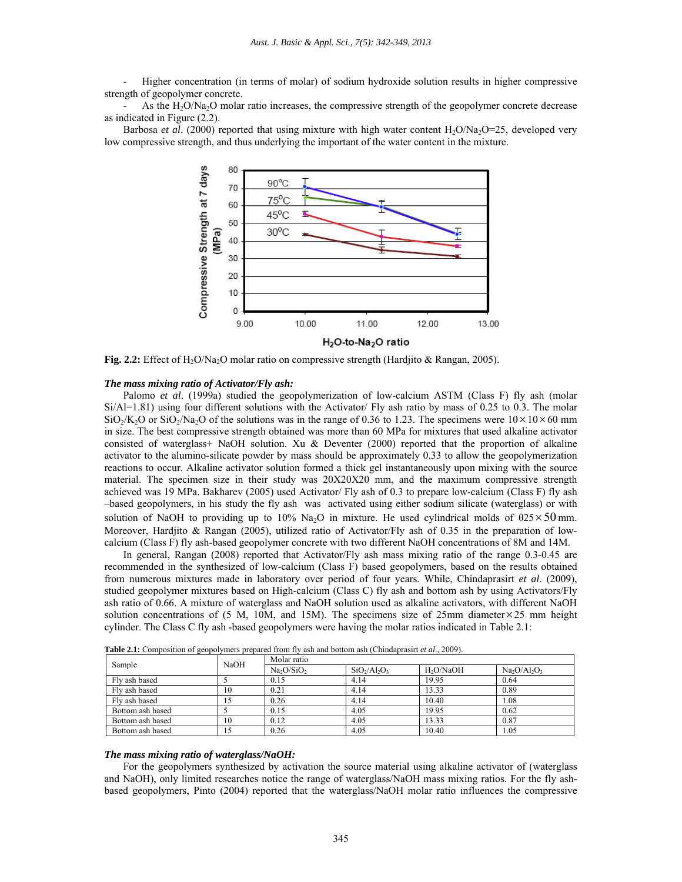- Higher concentration (in terms of molar) of sodium hydroxide solution results in higher compressive strength of geopolymer concrete.

As the  $H_2O/Na_2O$  molar ratio increases, the compressive strength of the geopolymer concrete decrease as indicated in Figure (2.2).

Barbosa *et al.* (2000) reported that using mixture with high water content H<sub>2</sub>O/Na<sub>2</sub>O=25, developed very low compressive strength, and thus underlying the important of the water content in the mixture.



**Fig. 2.2:** Effect of H<sub>2</sub>O/Na<sub>2</sub>O molar ratio on compressive strength (Hardjito & Rangan, 2005).

#### *The mass mixing ratio of Activator/Fly ash:*

Palomo *et al*. (1999a) studied the geopolymerization of low-calcium ASTM (Class F) fly ash (molar Si/Al=1.81) using four different solutions with the Activator/ Fly ash ratio by mass of 0.25 to 0.3. The molar  $\text{SiO}_2/\text{K}_2\text{O}$  or  $\text{SiO}_2/\text{Na}_2\text{O}$  of the solutions was in the range of 0.36 to 1.23. The specimens were  $10\times10\times60$  mm in size. The best compressive strength obtained was more than 60 MPa for mixtures that used alkaline activator consisted of waterglass+ NaOH solution. Xu & Deventer (2000) reported that the proportion of alkaline activator to the alumino-silicate powder by mass should be approximately 0.33 to allow the geopolymerization reactions to occur. Alkaline activator solution formed a thick gel instantaneously upon mixing with the source material. The specimen size in their study was 20X20X20 mm, and the maximum compressive strength achieved was 19 MPa. Bakharev (2005) used Activator/ Fly ash of 0.3 to prepare low-calcium (Class F) fly ash –based geopolymers, in his study the fly ash was activated using either sodium silicate (waterglass) or with solution of NaOH to providing up to 10% Na<sub>2</sub>O in mixture. He used cylindrical molds of  $\theta$ 25 × 50 mm. Moreover, Hardjito & Rangan (2005), utilized ratio of Activator/Fly ash of 0.35 in the preparation of lowcalcium (Class F) fly ash-based geopolymer concrete with two different NaOH concentrations of 8M and 14M.

In general, Rangan (2008) reported that Activator/Fly ash mass mixing ratio of the range 0.3-0.45 are recommended in the synthesized of low-calcium (Class F) based geopolymers, based on the results obtained from numerous mixtures made in laboratory over period of four years. While, Chindaprasirt *et al*. (2009), studied geopolymer mixtures based on High-calcium (Class C) fly ash and bottom ash by using Activators/Fly ash ratio of 0.66. A mixture of waterglass and NaOH solution used as alkaline activators, with different NaOH solution concentrations of (5 M, 10M, and 15M). The specimens size of 25mm diameter $\times$ 25 mm height cylinder. The Class C fly ash -based geopolymers were having the molar ratios indicated in Table 2.1:

| Sample           | <b>NaOH</b> | Molar ratio                        |                 |                       |              |
|------------------|-------------|------------------------------------|-----------------|-----------------------|--------------|
|                  |             | Na <sub>2</sub> O/SiO <sub>2</sub> | $SiO_2/Al_2O_3$ | H <sub>2</sub> O/NaOH | $Na2O/Al2O3$ |
| Fly ash based    |             | 0.15                               | 4.14            | 19.95                 | 0.64         |
| Fly ash based    | 10          | 0.21                               | 4.14            | 13.33                 | 0.89         |
| Fly ash based    |             | 0.26                               | 4.14            | 10.40                 | 1.08         |
| Bottom ash based |             | 0.15                               | 4.05            | 19.95                 | 0.62         |
| Bottom ash based | 10          | 0.12                               | 4.05            | 13.33                 | 0.87         |
| Bottom ash based | 15          | 0.26                               | 4.05            | 10.40                 | 1.05         |

**Table 2.1:** Composition of geopolymers prepared from fly ash and bottom ash (Chindaprasirt *et al*., 2009).

### *The mass mixing ratio of waterglass/NaOH:*

For the geopolymers synthesized by activation the source material using alkaline activator of (waterglass and NaOH), only limited researches notice the range of waterglass/NaOH mass mixing ratios. For the fly ashbased geopolymers, Pinto (2004) reported that the waterglass/NaOH molar ratio influences the compressive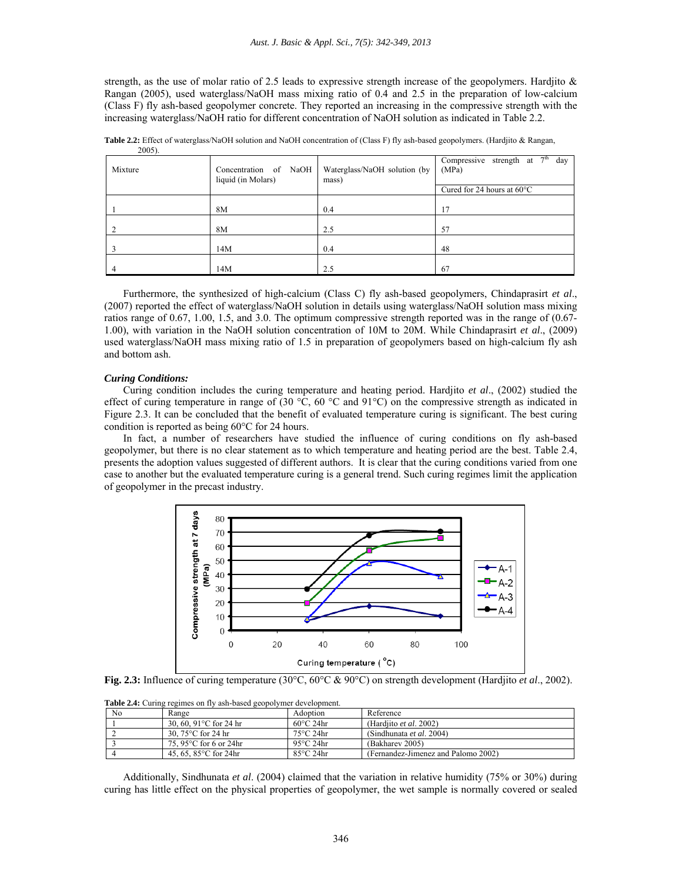strength, as the use of molar ratio of 2.5 leads to expressive strength increase of the geopolymers. Hardjito  $\&$ Rangan (2005), used waterglass/NaOH mass mixing ratio of 0.4 and 2.5 in the preparation of low-calcium (Class F) fly ash-based geopolymer concrete. They reported an increasing in the compressive strength with the increasing waterglass/NaOH ratio for different concentration of NaOH solution as indicated in Table 2.2.

| $200J$ .<br>Mixture | Concentration of NaOH<br>liquid (in Molars) | Waterglass/NaOH solution (by<br>mass) | 7 <sup>th</sup><br>Compressive strength at<br>day<br>(MPa) |  |
|---------------------|---------------------------------------------|---------------------------------------|------------------------------------------------------------|--|
|                     |                                             |                                       | Cured for 24 hours at $60^{\circ}$ C                       |  |
|                     | 8M                                          | 0.4                                   | 17                                                         |  |
|                     | 8M                                          | 2.5                                   | 57                                                         |  |
|                     | 14M                                         | 0.4                                   | 48                                                         |  |
|                     | 14M                                         | 2.5                                   | 67                                                         |  |

**Table 2.2:** Effect of waterglass/NaOH solution and NaOH concentration of (Class F) fly ash-based geopolymers. (Hardjito & Rangan, 2005).

Furthermore, the synthesized of high-calcium (Class C) fly ash-based geopolymers, Chindaprasirt *et al*., (2007) reported the effect of waterglass/NaOH solution in details using waterglass/NaOH solution mass mixing ratios range of 0.67, 1.00, 1.5, and 3.0. The optimum compressive strength reported was in the range of (0.67- 1.00), with variation in the NaOH solution concentration of 10M to 20M. While Chindaprasirt *et al*., (2009) used waterglass/NaOH mass mixing ratio of 1.5 in preparation of geopolymers based on high-calcium fly ash and bottom ash.

### *Curing Conditions:*

Curing condition includes the curing temperature and heating period. Hardjito *et al*., (2002) studied the effect of curing temperature in range of (30  $^{\circ}$ C, 60  $^{\circ}$ C and 91 $^{\circ}$ C) on the compressive strength as indicated in Figure 2.3. It can be concluded that the benefit of evaluated temperature curing is significant. The best curing condition is reported as being 60°C for 24 hours.

In fact, a number of researchers have studied the influence of curing conditions on fly ash-based geopolymer, but there is no clear statement as to which temperature and heating period are the best. Table 2.4, presents the adoption values suggested of different authors. It is clear that the curing conditions varied from one case to another but the evaluated temperature curing is a general trend. Such curing regimes limit the application of geopolymer in the precast industry.



**Fig. 2.3:** Influence of curing temperature (30°C, 60°C & 90°C) on strength development (Hardjito *et al*., 2002).

| <b>Table 2.4.</b> Curing regnites on my ash-based geopolymer development. |                                   |                     |                                     |  |  |
|---------------------------------------------------------------------------|-----------------------------------|---------------------|-------------------------------------|--|--|
| N <sub>0</sub>                                                            | Range                             | Adoption            | Reference                           |  |  |
|                                                                           | 30, 60, 91 $^{\circ}$ C for 24 hr | $60^{\circ}$ C 24hr | (Hardjito <i>et al.</i> 2002)       |  |  |
|                                                                           | 30, $75^{\circ}$ C for 24 hr      | $75^{\circ}$ C 24hr | (Sindhunata <i>et al.</i> 2004)     |  |  |
|                                                                           | 75, 95 $\degree$ C for 6 or 24hr  | 95 $\rm ^{o}C$ 24hr | (Bakharev 2005)                     |  |  |
|                                                                           | 45, 65, 85 $^{\circ}$ C for 24hr  | $85^{\circ}$ C 24hr | (Fernandez-Jimenez and Palomo 2002) |  |  |

**Table 2.4:** Curing regimes on fly ash-based geopolymer development.

Additionally, Sindhunata *et al*. (2004) claimed that the variation in relative humidity (75% or 30%) during curing has little effect on the physical properties of geopolymer, the wet sample is normally covered or sealed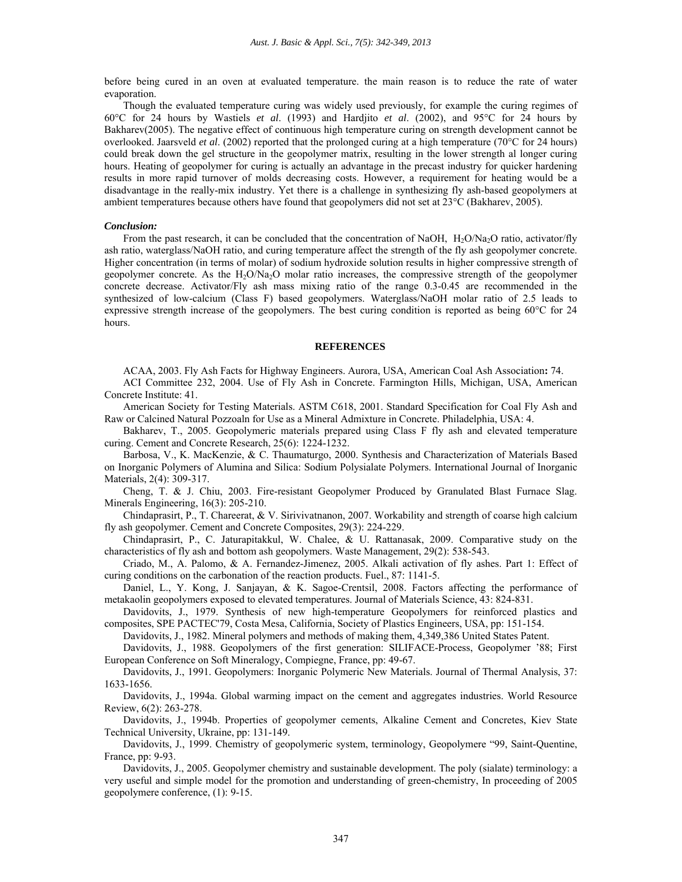before being cured in an oven at evaluated temperature. the main reason is to reduce the rate of water evaporation.

Though the evaluated temperature curing was widely used previously, for example the curing regimes of 60°C for 24 hours by Wastiels *et al*. (1993) and Hardjito *et al*. (2002), and 95°C for 24 hours by Bakharev(2005). The negative effect of continuous high temperature curing on strength development cannot be overlooked. Jaarsveld *et al.* (2002) reported that the prolonged curing at a high temperature (70°C for 24 hours) could break down the gel structure in the geopolymer matrix, resulting in the lower strength al longer curing hours. Heating of geopolymer for curing is actually an advantage in the precast industry for quicker hardening results in more rapid turnover of molds decreasing costs. However, a requirement for heating would be a disadvantage in the really-mix industry. Yet there is a challenge in synthesizing fly ash-based geopolymers at ambient temperatures because others have found that geopolymers did not set at 23°C (Bakharev, 2005).

#### *Conclusion:*

From the past research, it can be concluded that the concentration of NaOH,  $H_2O/Na_2O$  ratio, activator/fly ash ratio, waterglass/NaOH ratio, and curing temperature affect the strength of the fly ash geopolymer concrete. Higher concentration (in terms of molar) of sodium hydroxide solution results in higher compressive strength of geopolymer concrete. As the H2O/Na2O molar ratio increases, the compressive strength of the geopolymer concrete decrease. Activator/Fly ash mass mixing ratio of the range 0.3-0.45 are recommended in the synthesized of low-calcium (Class F) based geopolymers. Waterglass/NaOH molar ratio of 2.5 leads to expressive strength increase of the geopolymers. The best curing condition is reported as being 60°C for 24 hours.

#### **REFERENCES**

ACAA, 2003. Fly Ash Facts for Highway Engineers. Aurora, USA, American Coal Ash Association**:** 74.

ACI Committee 232, 2004. Use of Fly Ash in Concrete. Farmington Hills, Michigan, USA, American Concrete Institute: 41.

American Society for Testing Materials. ASTM C618, 2001. Standard Specification for Coal Fly Ash and Raw or Calcined Natural Pozzoaln for Use as a Mineral Admixture in Concrete. Philadelphia, USA: 4.

Bakharev, T., 2005. Geopolymeric materials prepared using Class F fly ash and elevated temperature curing. Cement and Concrete Research, 25(6): 1224-1232.

Barbosa, V., K. MacKenzie, & C. Thaumaturgo, 2000. Synthesis and Characterization of Materials Based on Inorganic Polymers of Alumina and Silica: Sodium Polysialate Polymers. International Journal of Inorganic Materials, 2(4): 309-317.

Cheng, T. & J. Chiu, 2003. Fire-resistant Geopolymer Produced by Granulated Blast Furnace Slag. Minerals Engineering, 16(3): 205-210.

Chindaprasirt, P., T. Chareerat, & V. Sirivivatnanon, 2007. Workability and strength of coarse high calcium fly ash geopolymer. Cement and Concrete Composites, 29(3): 224-229.

Chindaprasirt, P., C. Jaturapitakkul, W. Chalee, & U. Rattanasak, 2009. Comparative study on the characteristics of fly ash and bottom ash geopolymers. Waste Management, 29(2): 538-543.

Criado, M., A. Palomo, & A. Fernandez-Jimenez, 2005. Alkali activation of fly ashes. Part 1: Effect of curing conditions on the carbonation of the reaction products. Fuel., 87: 1141-5.

Daniel, L., Y. Kong, J. Sanjayan, & K. Sagoe-Crentsil, 2008. Factors affecting the performance of metakaolin geopolymers exposed to elevated temperatures. Journal of Materials Science, 43: 824-831.

Davidovits, J., 1979. Synthesis of new high-temperature Geopolymers for reinforced plastics and composites, SPE PACTEC'79, Costa Mesa, California, Society of Plastics Engineers, USA, pp: 151-154.

Davidovits, J., 1982. Mineral polymers and methods of making them, 4,349,386 United States Patent.

Davidovits, J., 1988. Geopolymers of the first generation: SILIFACE-Process, Geopolymer '88; First European Conference on Soft Mineralogy, Compiegne, France, pp: 49-67.

Davidovits, J., 1991. Geopolymers: Inorganic Polymeric New Materials. Journal of Thermal Analysis, 37: 1633-1656.

Davidovits, J., 1994a. Global warming impact on the cement and aggregates industries. World Resource Review, 6(2): 263-278.

Davidovits, J., 1994b. Properties of geopolymer cements, Alkaline Cement and Concretes, Kiev State Technical University, Ukraine, pp: 131-149.

Davidovits, J., 1999. Chemistry of geopolymeric system, terminology, Geopolymere "99, Saint-Quentine, France, pp: 9-93.

Davidovits, J., 2005. Geopolymer chemistry and sustainable development. The poly (sialate) terminology: a very useful and simple model for the promotion and understanding of green-chemistry, In proceeding of 2005 geopolymere conference, (1): 9-15.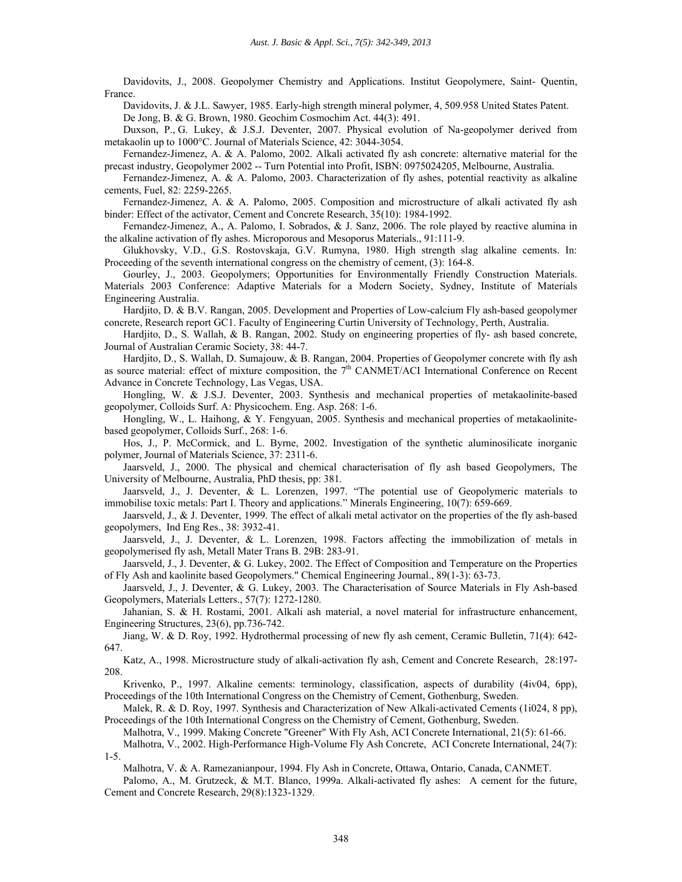Davidovits, J., 2008. Geopolymer Chemistry and Applications. Institut Geopolymere, Saint- Quentin, France.

Davidovits, J. & J.L. Sawyer, 1985. Early-high strength mineral polymer, 4, 509.958 United States Patent. De Jong, B. & G. Brown, 1980. Geochim Cosmochim Act. 44(3): 491.

Duxson, P., G. Lukey, & J.S.J. Deventer, 2007. Physical evolution of Na-geopolymer derived from metakaolin up to 1000°C. Journal of Materials Science, 42: 3044-3054.

Fernandez-Jimenez, A. & A. Palomo, 2002. Alkali activated fly ash concrete: alternative material for the precast industry, Geopolymer 2002 -- Turn Potential into Profit, ISBN: 0975024205, Melbourne, Australia.

Fernandez-Jimenez, A. & A. Palomo, 2003. Characterization of fly ashes, potential reactivity as alkaline cements, Fuel, 82: 2259-2265.

Fernandez-Jimenez, A. & A. Palomo, 2005. Composition and microstructure of alkali activated fly ash binder: Effect of the activator, Cement and Concrete Research, 35(10): 1984-1992.

Fernandez-Jimenez, A., A. Palomo, I. Sobrados, & J. Sanz, 2006. The role played by reactive alumina in the alkaline activation of fly ashes. Microporous and Mesoporus Materials., 91:111-9.

Glukhovsky, V.D., G.S. Rostovskaja, G.V. Rumyna, 1980. High strength slag alkaline cements. In: Proceeding of the seventh international congress on the chemistry of cement, (3): 164-8.

Gourley, J., 2003. Geopolymers; Opportunities for Environmentally Friendly Construction Materials. Materials 2003 Conference: Adaptive Materials for a Modern Society, Sydney, Institute of Materials Engineering Australia.

Hardjito, D. & B.V. Rangan, 2005. Development and Properties of Low-calcium Fly ash-based geopolymer concrete, Research report GC1. Faculty of Engineering Curtin University of Technology, Perth, Australia.

Hardjito, D., S. Wallah, & B. Rangan, 2002. Study on engineering properties of fly- ash based concrete, Journal of Australian Ceramic Society, 38: 44-7.

Hardjito, D., S. Wallah, D. Sumajouw, & B. Rangan, 2004. Properties of Geopolymer concrete with fly ash as source material: effect of mixture composition, the  $7<sup>th</sup>$  CANMET/ACI International Conference on Recent Advance in Concrete Technology, Las Vegas, USA.

Hongling, W. & J.S.J. Deventer, 2003. Synthesis and mechanical properties of metakaolinite-based geopolymer, Colloids Surf. A: Physicochem. Eng. Asp. 268: 1-6.

Hongling, W., L. Haihong, & Y. Fengyuan, 2005. Synthesis and mechanical properties of metakaolinitebased geopolymer, Colloids Surf., 268: 1-6.

Hos, J., P. McCormick, and L. Byrne, 2002. Investigation of the synthetic aluminosilicate inorganic polymer, Journal of Materials Science, 37: 2311-6.

Jaarsveld, J., 2000. The physical and chemical characterisation of fly ash based Geopolymers, The University of Melbourne, Australia, PhD thesis, pp: 381.

Jaarsveld, J., J. Deventer, & L. Lorenzen, 1997. "The potential use of Geopolymeric materials to immobilise toxic metals: Part I. Theory and applications." Minerals Engineering, 10(7): 659-669.

Jaarsveld, J., & J. Deventer, 1999. The effect of alkali metal activator on the properties of the fly ash-based geopolymers, Ind Eng Res., 38: 3932-41.

Jaarsveld, J., J. Deventer, & L. Lorenzen, 1998. Factors affecting the immobilization of metals in geopolymerised fly ash, Metall Mater Trans B. 29B: 283-91.

Jaarsveld, J., J. Deventer, & G. Lukey, 2002. The Effect of Composition and Temperature on the Properties of Fly Ash and kaolinite based Geopolymers." Chemical Engineering Journal., 89(1-3): 63-73.

Jaarsveld, J., J. Deventer, & G. Lukey, 2003. The Characterisation of Source Materials in Fly Ash-based Geopolymers, Materials Letters., 57(7): 1272-1280.

Jahanian, S. & H. Rostami, 2001. Alkali ash material, a novel material for infrastructure enhancement, Engineering Structures, 23(6), pp.736-742.

Jiang, W. & D. Roy, 1992. Hydrothermal processing of new fly ash cement, Ceramic Bulletin, 71(4): 642- 647.

Katz, A., 1998. Microstructure study of alkali-activation fly ash, Cement and Concrete Research, 28:197- 208.

Krivenko, P., 1997. Alkaline cements: terminology, classification, aspects of durability (4iv04, 6pp), Proceedings of the 10th International Congress on the Chemistry of Cement, Gothenburg, Sweden.

Malek, R. & D. Roy, 1997. Synthesis and Characterization of New Alkali-activated Cements (1i024, 8 pp), Proceedings of the 10th International Congress on the Chemistry of Cement, Gothenburg, Sweden.

Malhotra, V., 1999. Making Concrete "Greener" With Fly Ash, ACI Concrete International, 21(5): 61-66.

Malhotra, V., 2002. High-Performance High-Volume Fly Ash Concrete, ACI Concrete International, 24(7): 1-5.

Malhotra, V. & A. Ramezanianpour, 1994. Fly Ash in Concrete, Ottawa, Ontario, Canada, CANMET.

Palomo, A., M. Grutzeck, & M.T. Blanco, 1999a. Alkali-activated fly ashes: A cement for the future, Cement and Concrete Research, 29(8):1323-1329.